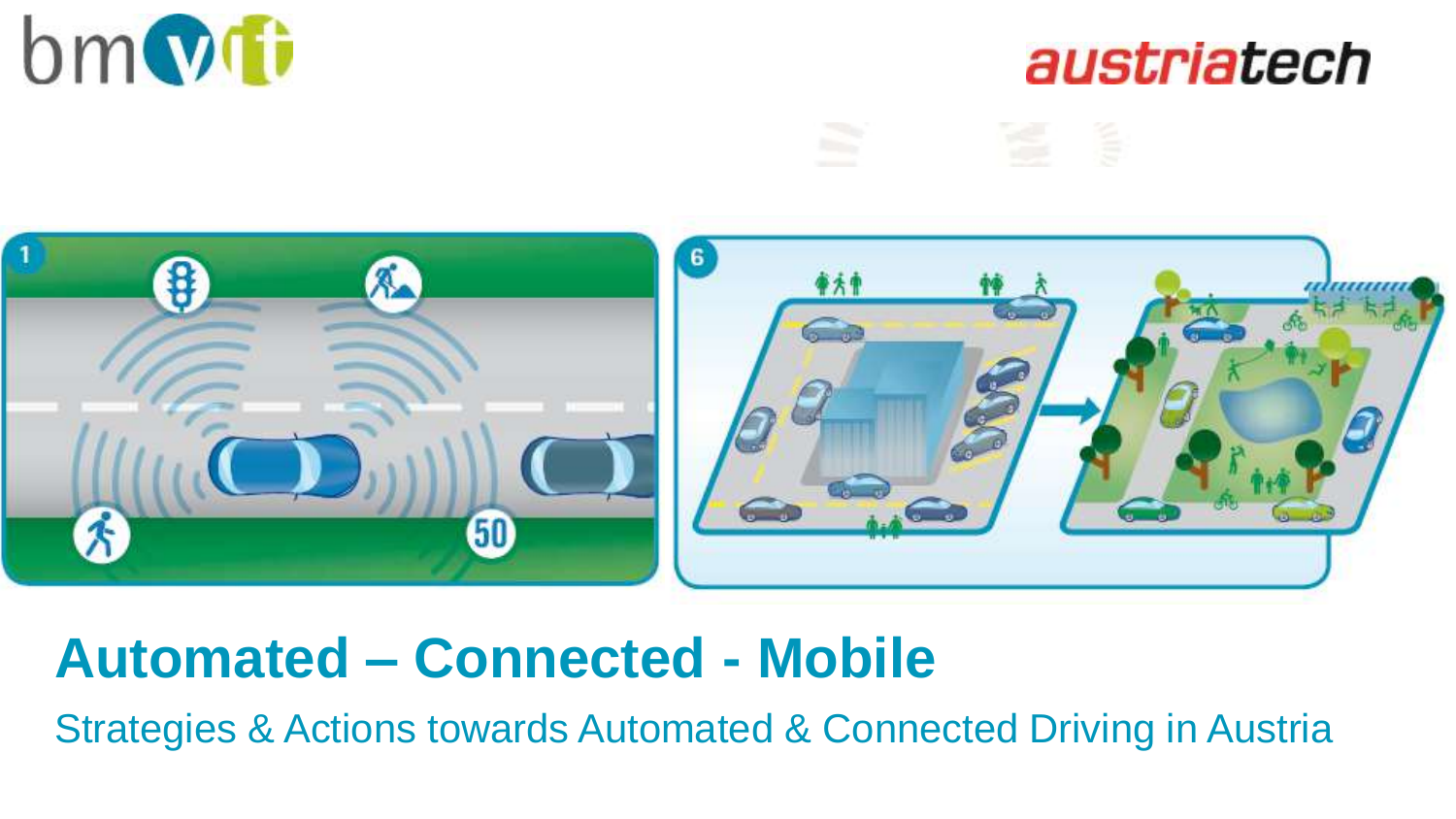





## **Automated – Connected - Mobile**

Strategies & Actions towards Automated & Connected Driving in Austria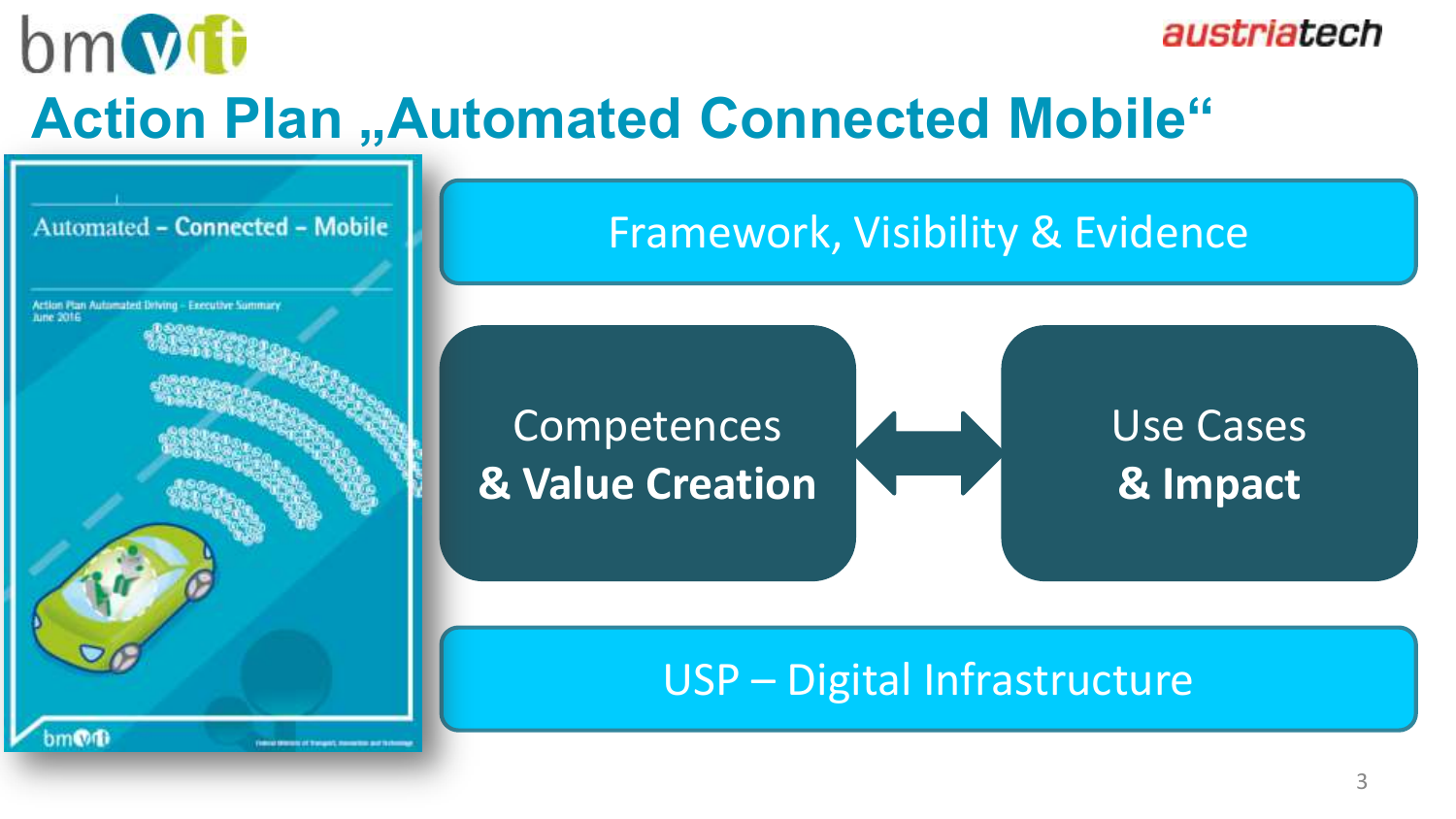$bm$ 

austriatech

## **Action Plan "Automated Connected Mobile"**

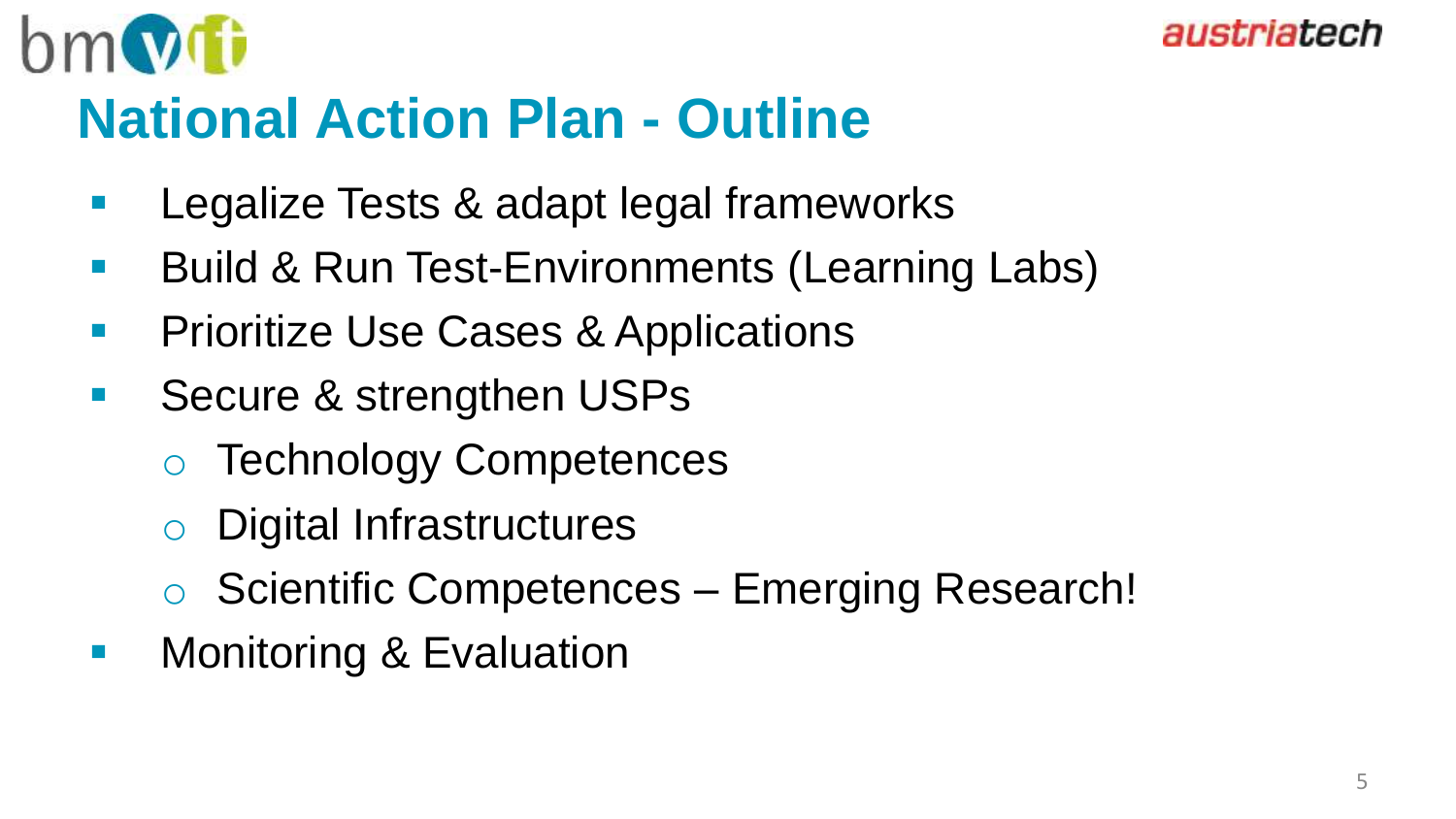

## **National Action Plan - Outline**

- Legalize Tests & adapt legal frameworks
- **Build & Run Test-Environments (Learning Labs)**
- **Prioritize Use Cases & Applications**
- **Secure & strengthen USPs** 
	- o Technology Competences
	- o Digital Infrastructures
	- o Scientific Competences Emerging Research!
- **Monitoring & Evaluation**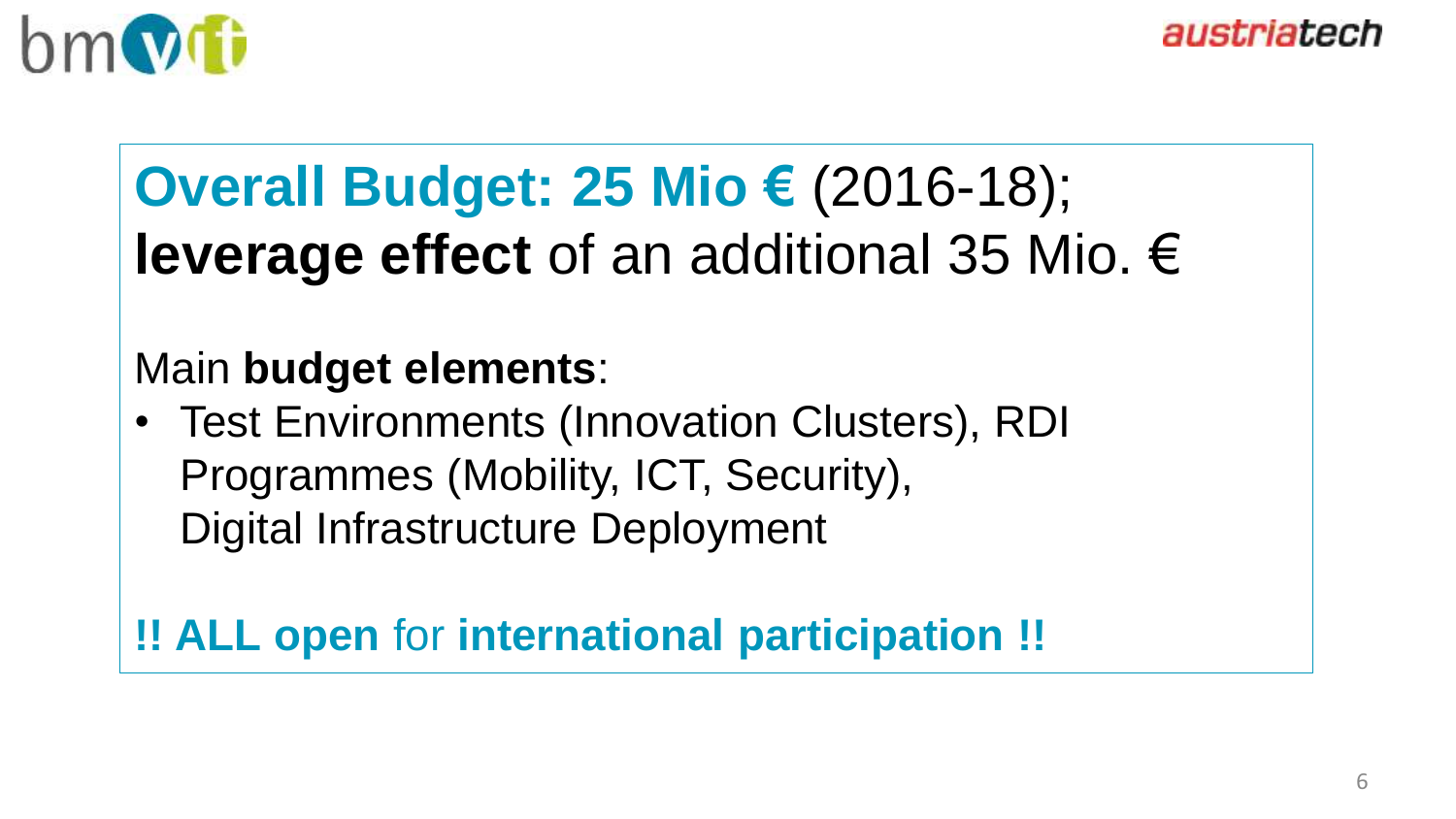

# **Overall Budget: 25 Mio €** (2016-18); **leverage effect** of an additional 35 Mio. €

### Main **budget elements**:

• Test Environments (Innovation Clusters), RDI Programmes (Mobility, ICT, Security), Digital Infrastructure Deployment

#### **!! ALL open** for **international participation !!**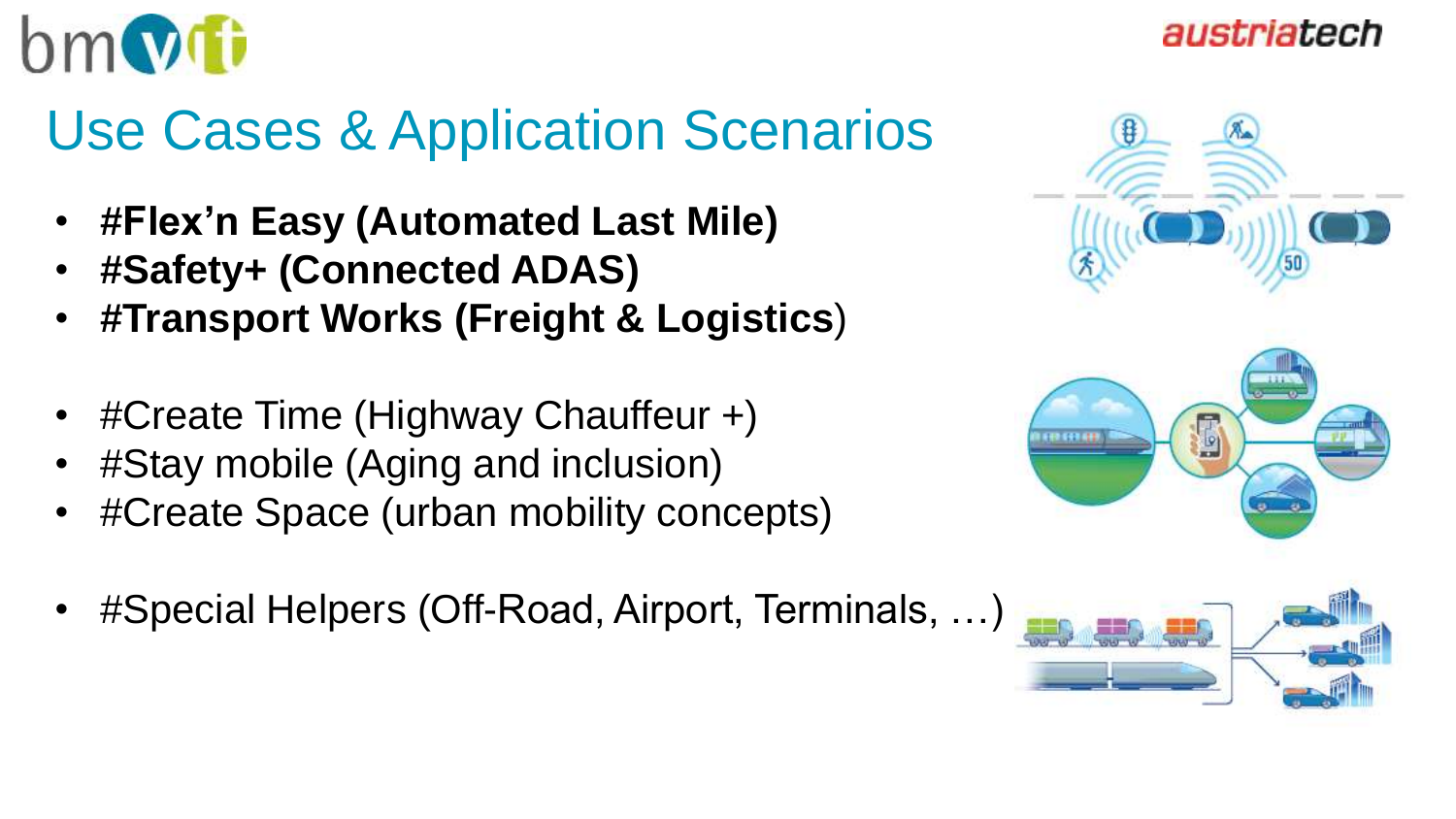

# Use Cases & Application Scenarios

- **#Flex'n Easy (Automated Last Mile)**
- **#Safety+ (Connected ADAS)**
- **#Transport Works (Freight & Logistics**)
- #Create Time (Highway Chauffeur +)
- #Stay mobile (Aging and inclusion)
- #Create Space (urban mobility concepts)
- #Special Helpers (Off-Road, Airport, Terminals, …)





#### austriatech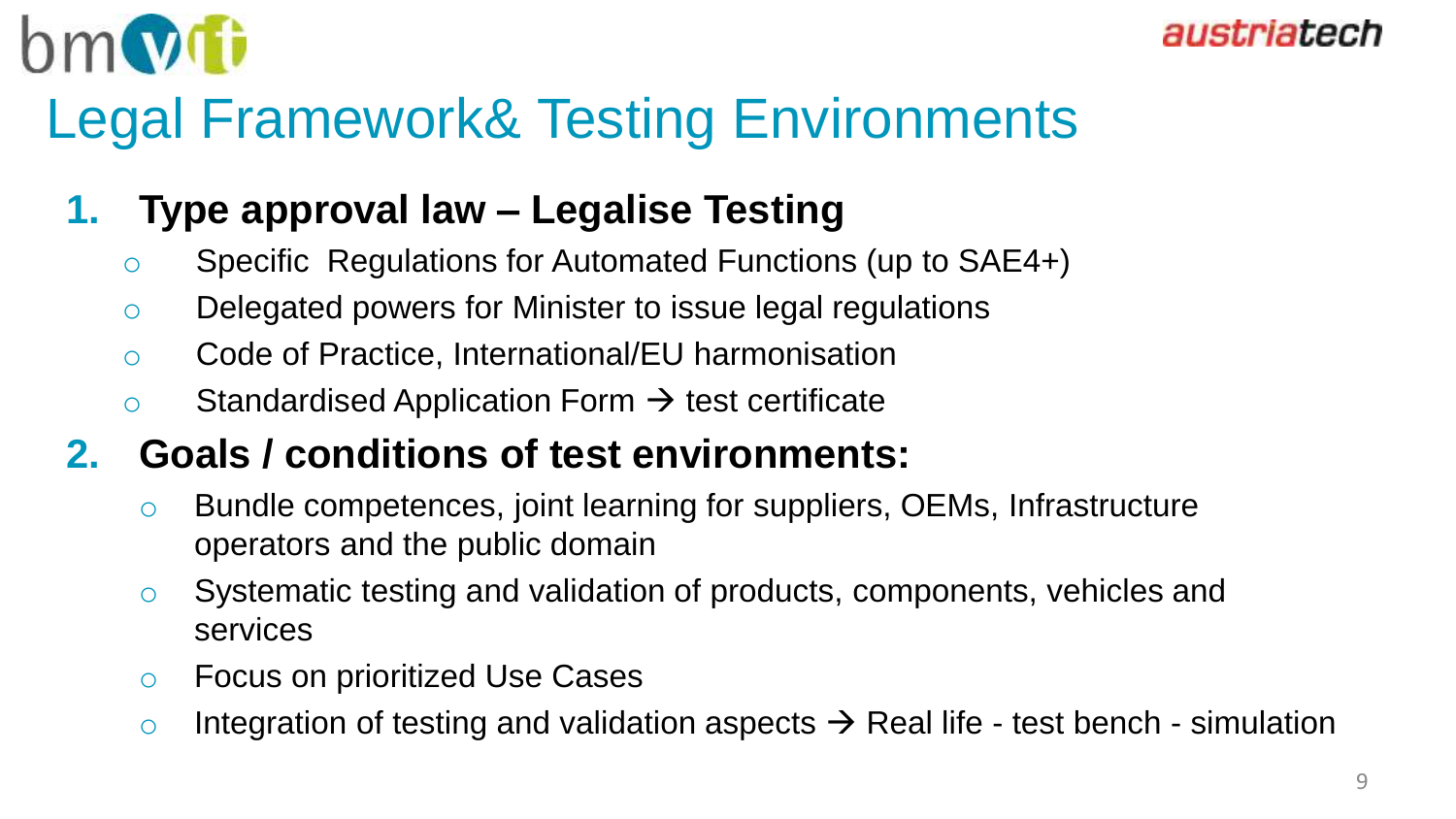

# Legal Framework& Testing Environments

### **1. Type approval law – Legalise Testing**

- o Specific Regulations for Automated Functions (up to SAE4+)
- o Delegated powers for Minister to issue legal regulations
- o Code of Practice, International/EU harmonisation
- $\circ$  Standardised Application Form  $\rightarrow$  test certificate

### **2. Goals / conditions of test environments:**

- o Bundle competences, joint learning for suppliers, OEMs, Infrastructure operators and the public domain
- o Systematic testing and validation of products, components, vehicles and services
- o Focus on prioritized Use Cases
- o Integration of testing and validation aspects  $\rightarrow$  Real life test bench simulation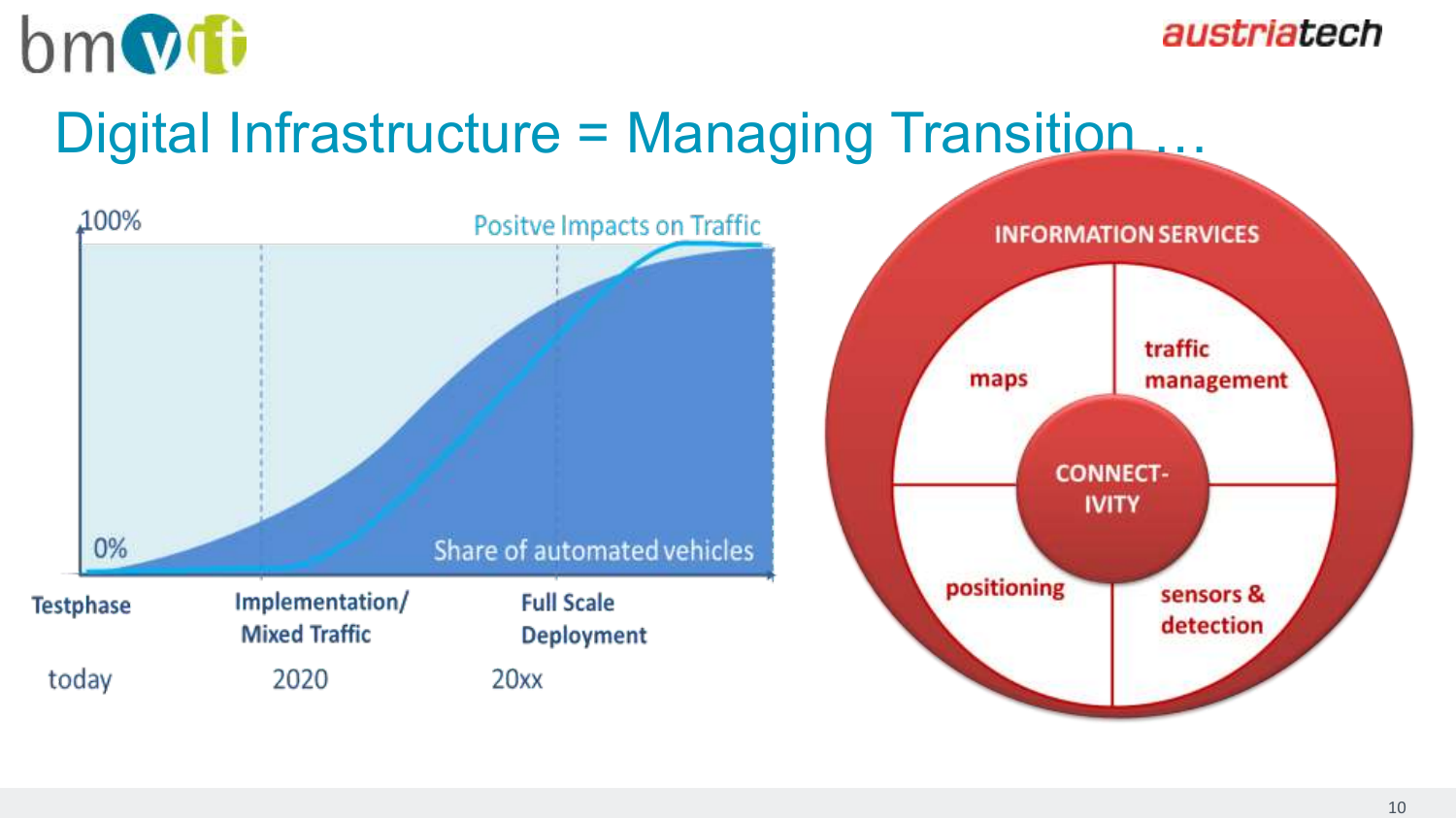

## Digital Infrastructure = Managing Transition ...

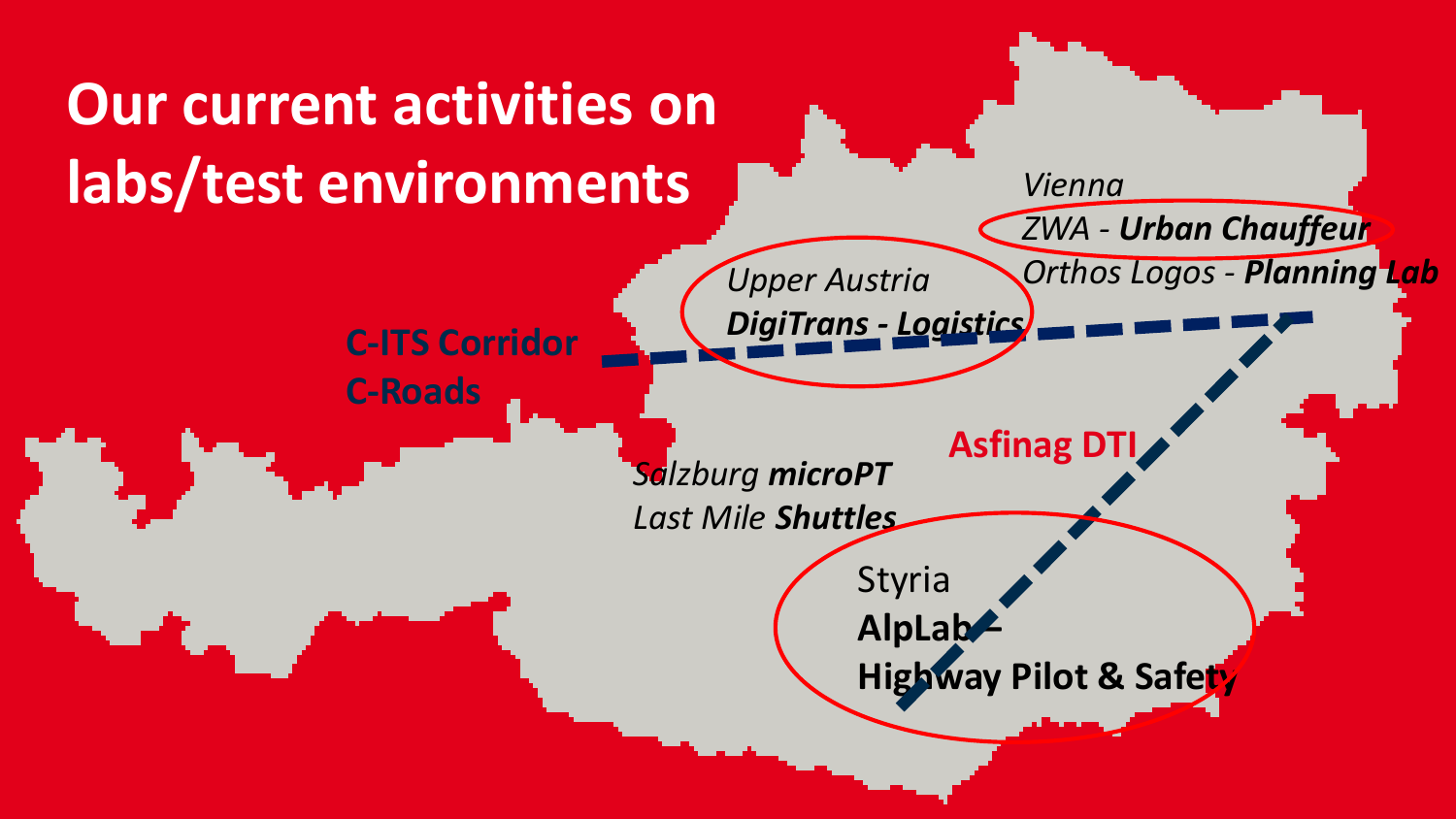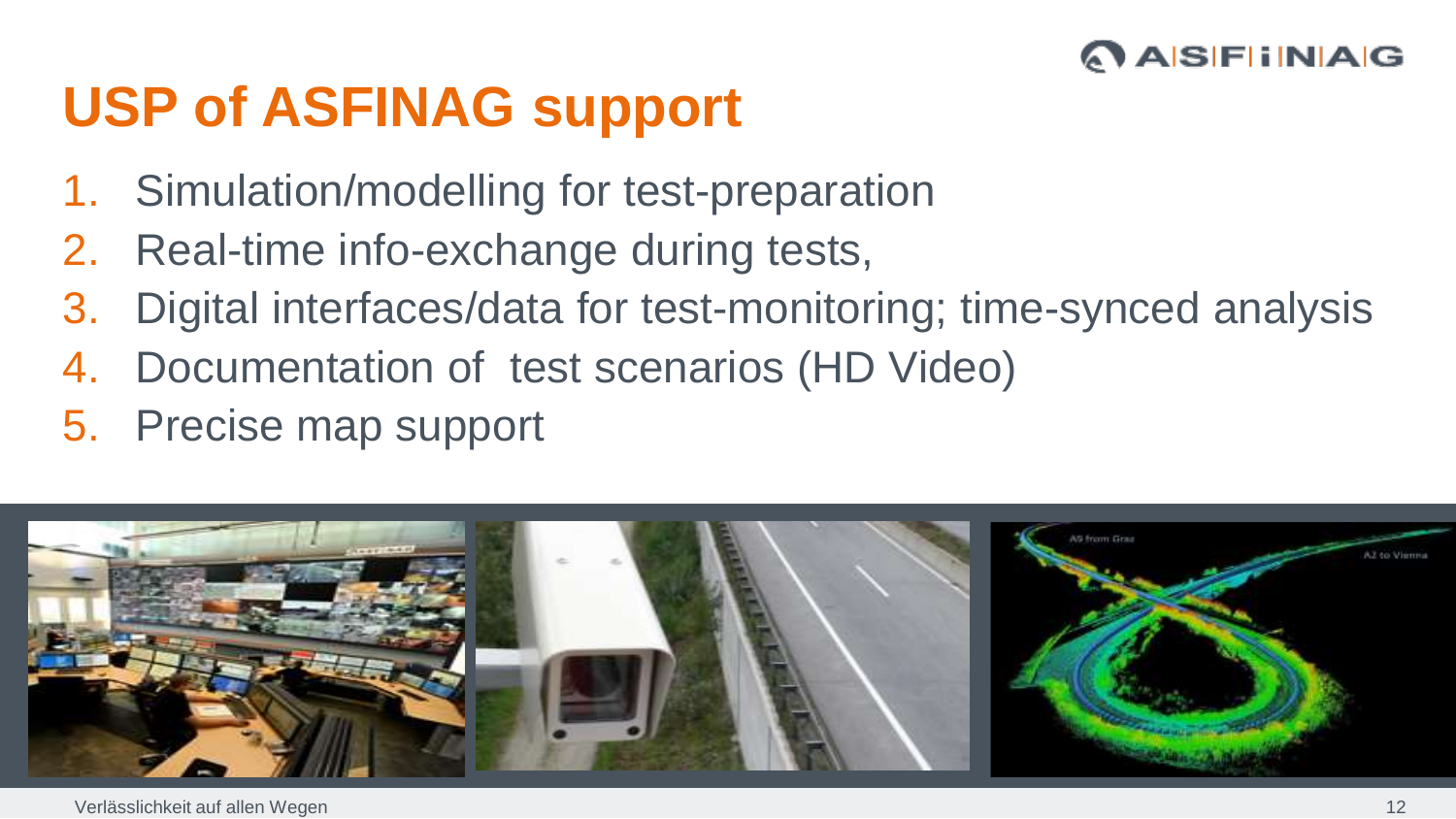#### **ASFINAG**

# **USP of ASFINAG support**

- 1. Simulation/modelling for test-preparation
- 2. Real-time info-exchange during tests,
- 3. Digital interfaces/data for test-monitoring; time-synced analysis
- 4. Documentation of test scenarios (HD Video)
- 5. Precise map support

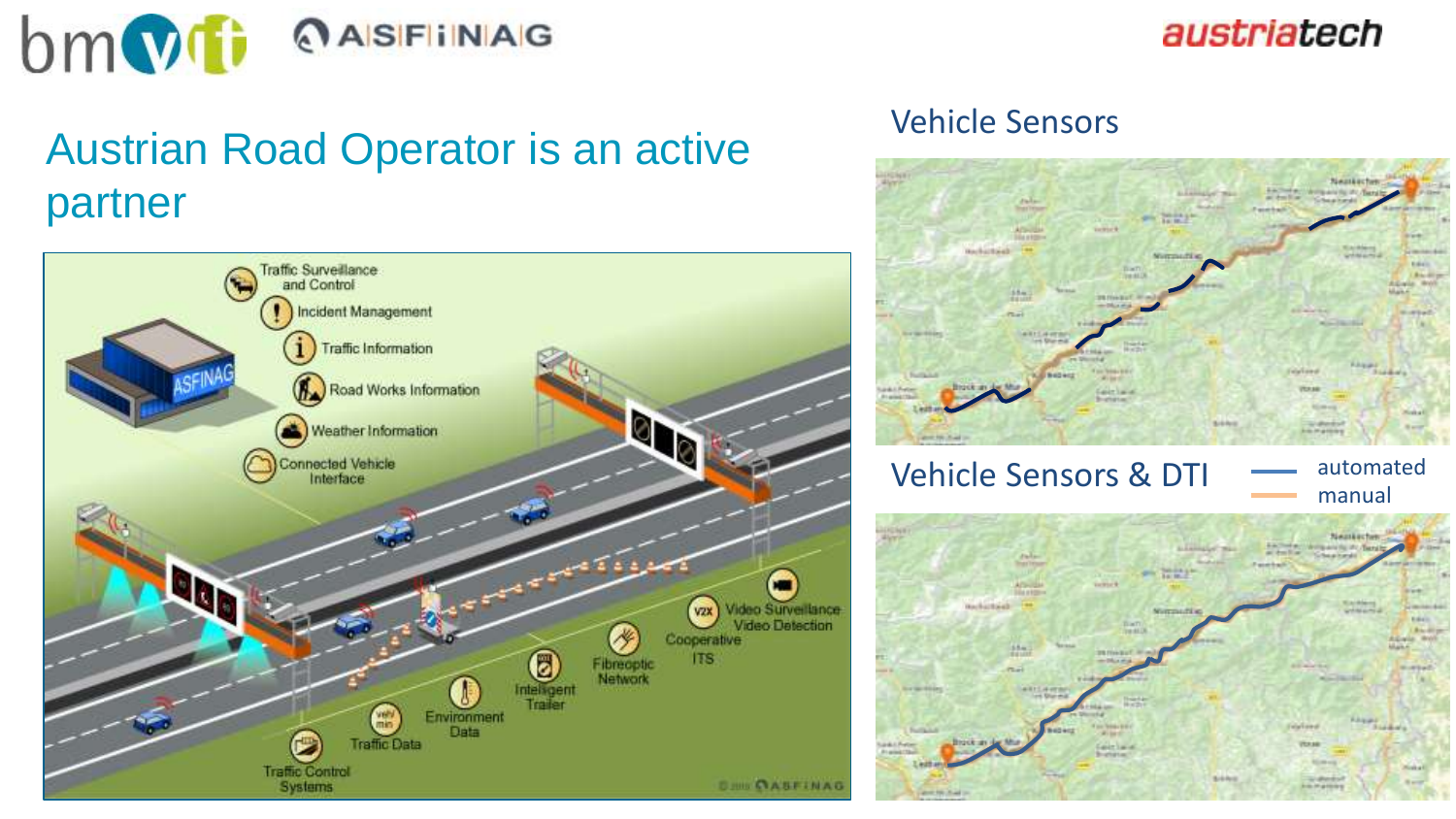

### Austrian Road Operator is an active partner



#### Vehicle Sensors

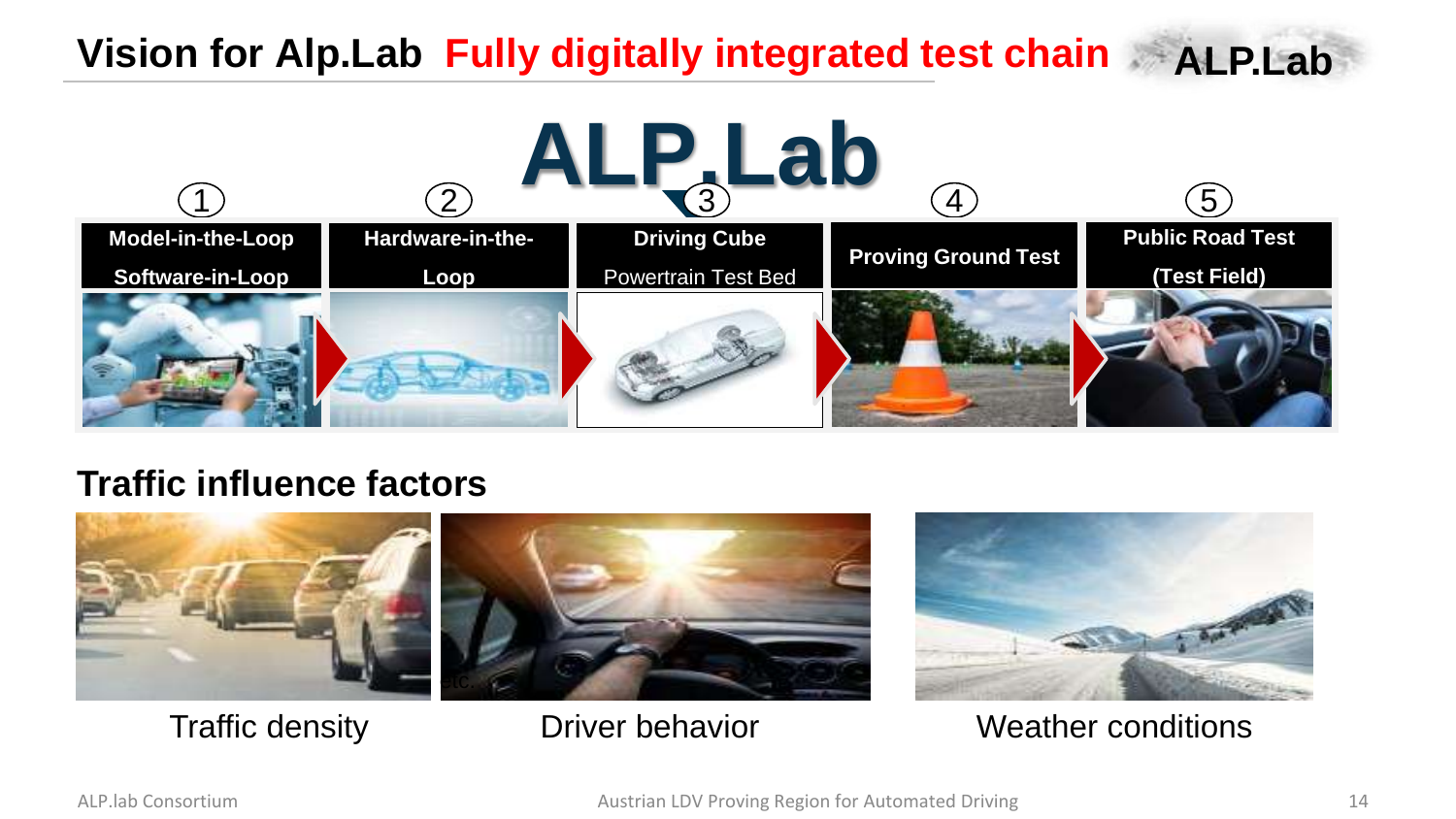### Vision for Alp.Lab Fully digitally integrated test chain **ALP.Lab**

**ALP.Lab** 1  $\qquad \qquad (2) \qquad \qquad (3) \qquad \qquad (4)$ **Model-in-the-Loop Software-in-Loop Hardware-in-the-Loop Driving Cube** Powertrain Test Bed **Proving Ground Test Public Road Test (Test Field)**

#### **Traffic influence factors**



Traffic density **Driver behavior** Weather conditions

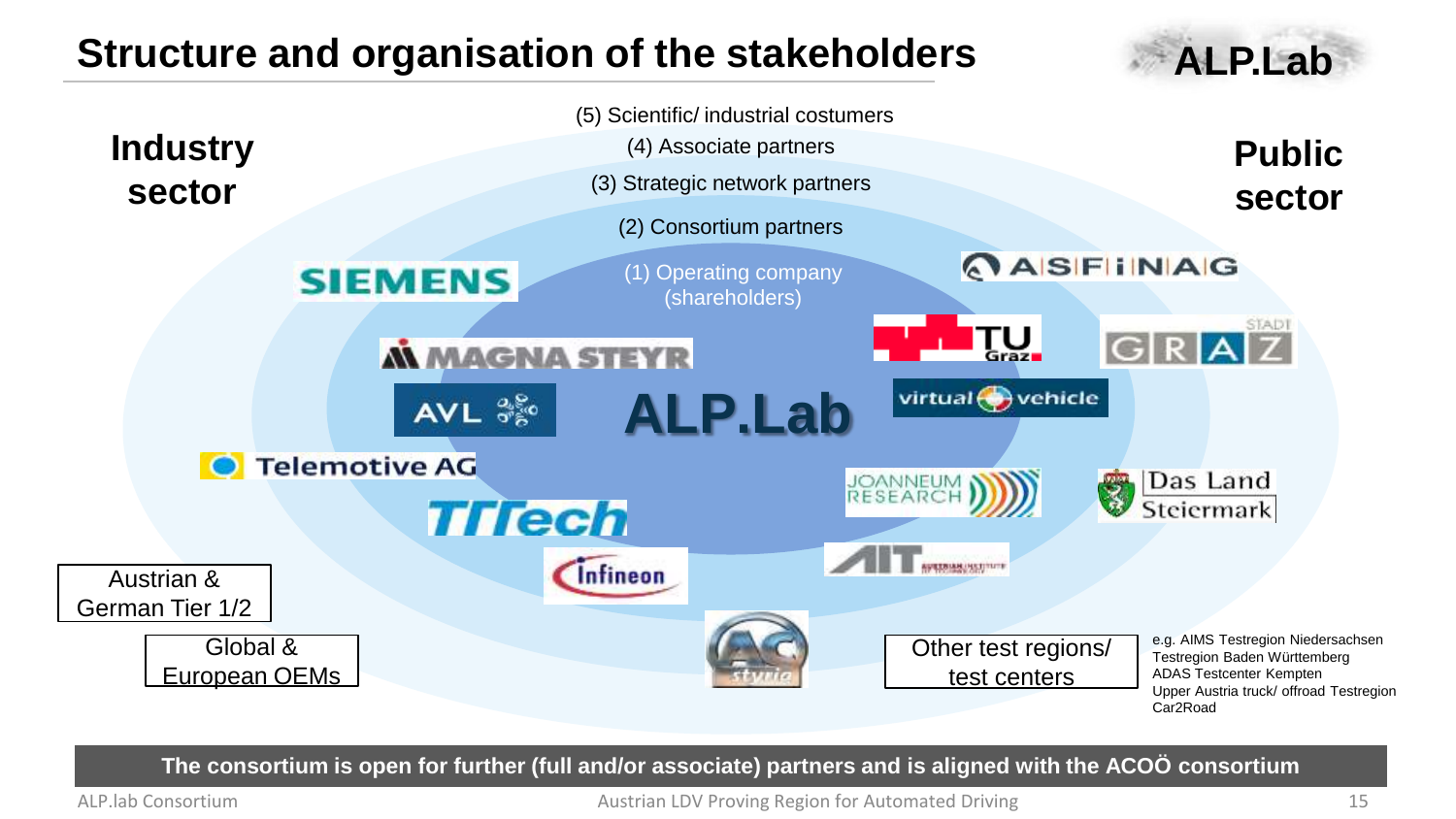#### **Structure and organisation of the stakeholders ALP.Lab**





**The consortium is open for further (full and/or associate) partners and is aligned with the ACOÖ consortium**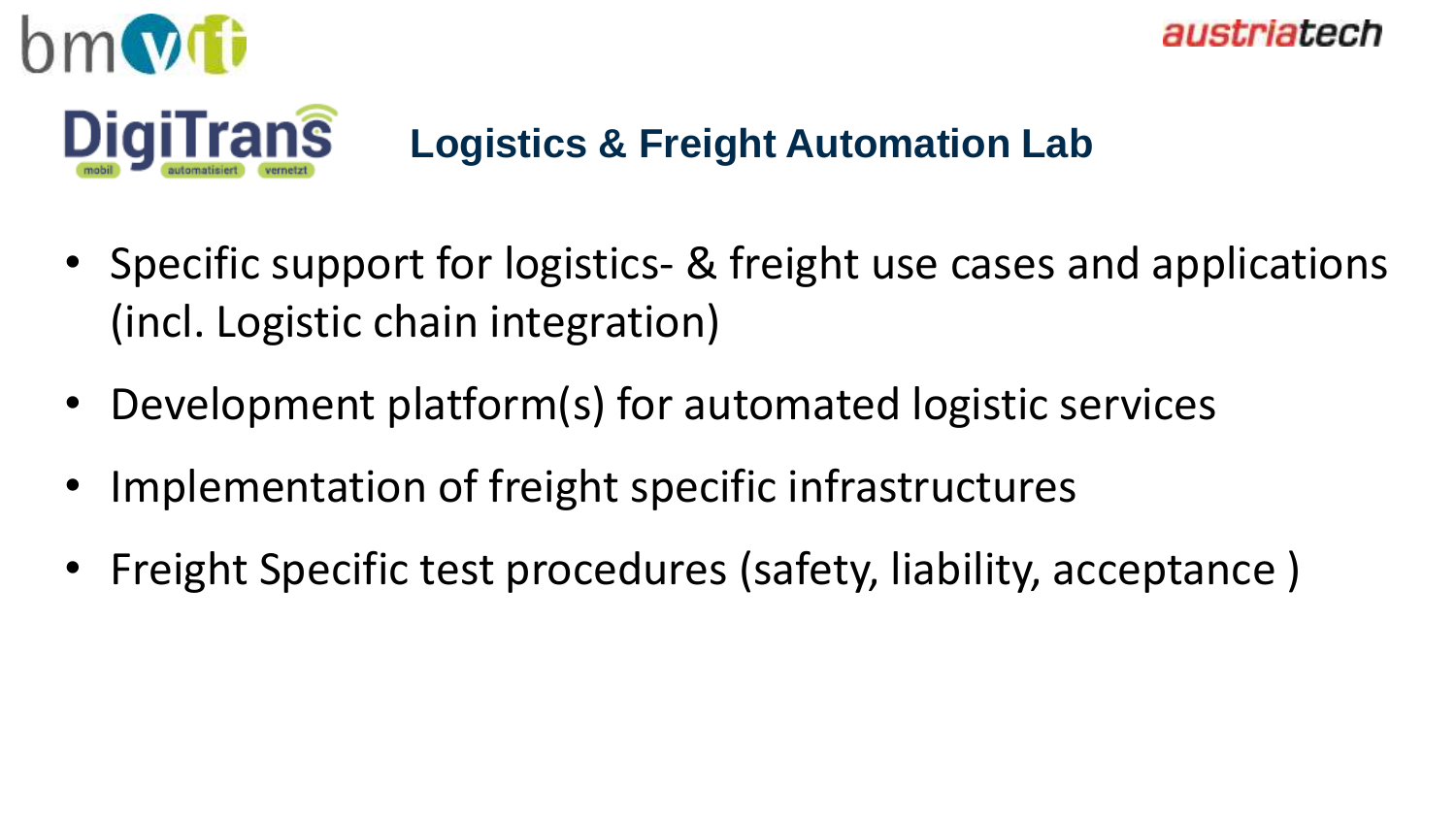

### **Logistics & Freight Automation Lab**

austriatech

- Specific support for logistics- & freight use cases and applications (incl. Logistic chain integration)
- Development platform(s) for automated logistic services
- Implementation of freight specific infrastructures
- Freight Specific test procedures (safety, liability, acceptance)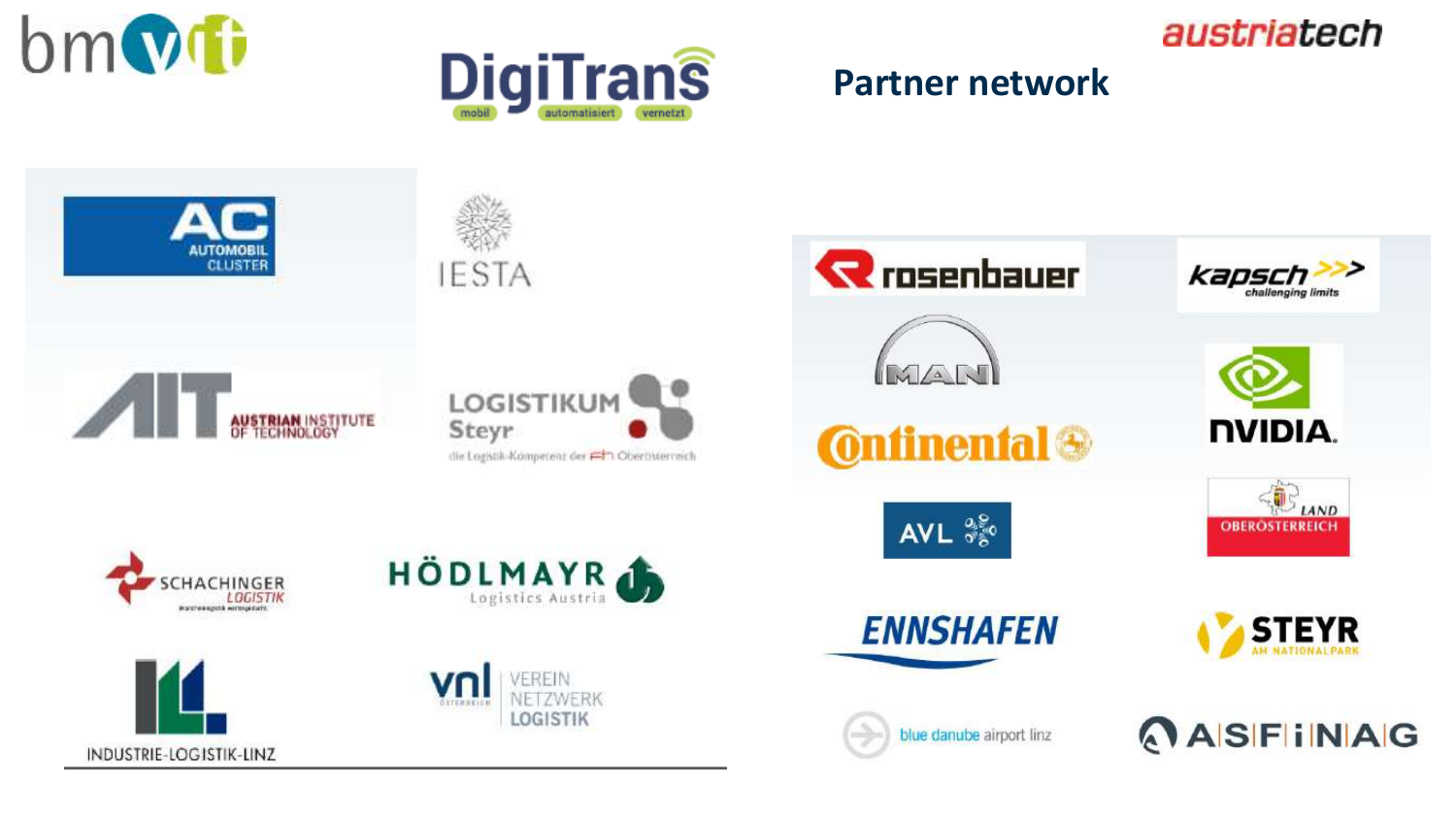



#### **Partner network**

austriatech

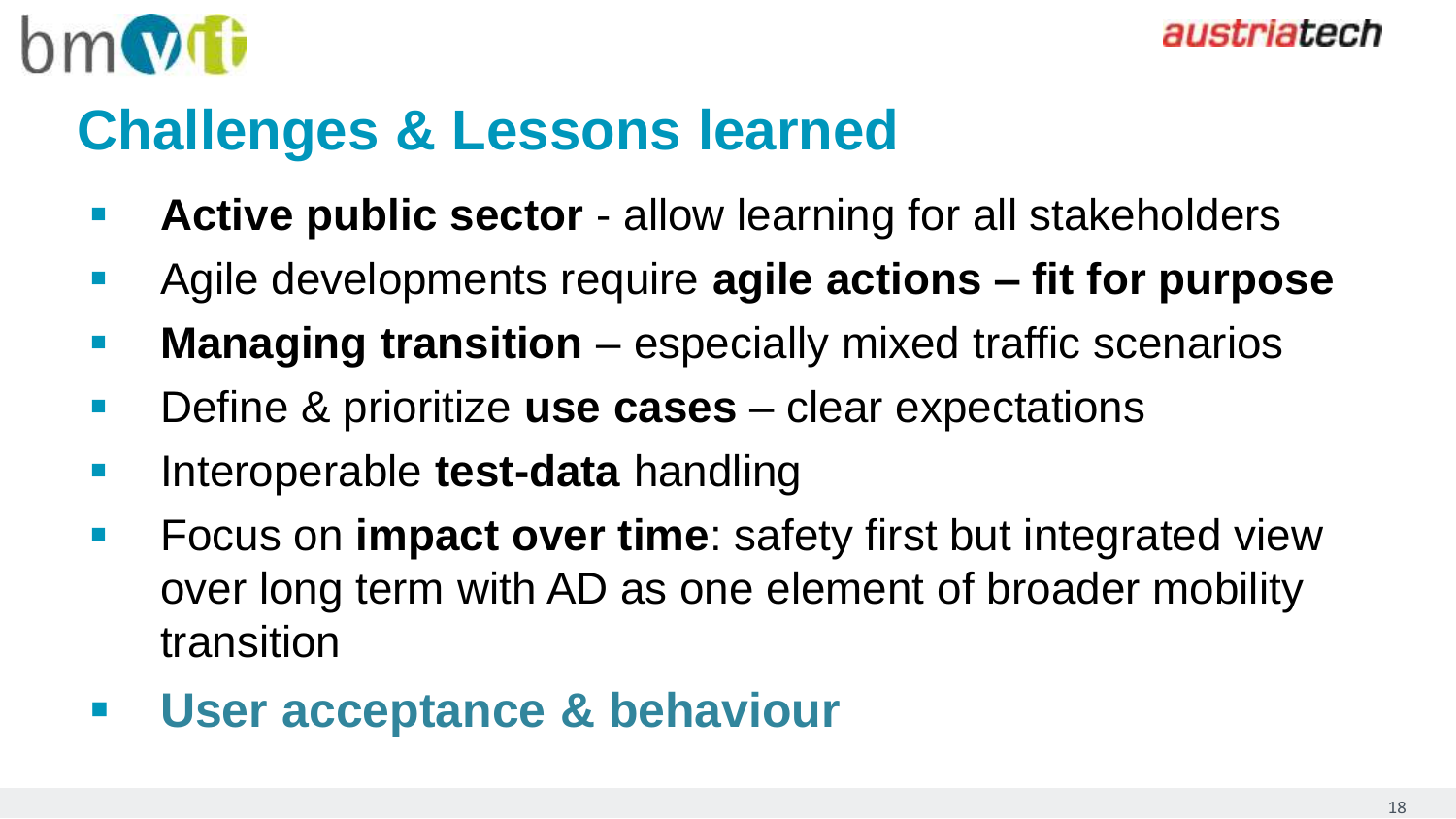

## **Challenges & Lessons learned**

- **Active public sector** allow learning for all stakeholders
- Agile developments require **agile actions – fit for purpose**
- **Managing transition** especially mixed traffic scenarios
- Define & prioritize **use cases** clear expectations
- **Interoperable test-data** handling
- **Figure 1.5 Focus on impact over time:** safety first but integrated view over long term with AD as one element of broader mobility transition
- **User acceptance & behaviour**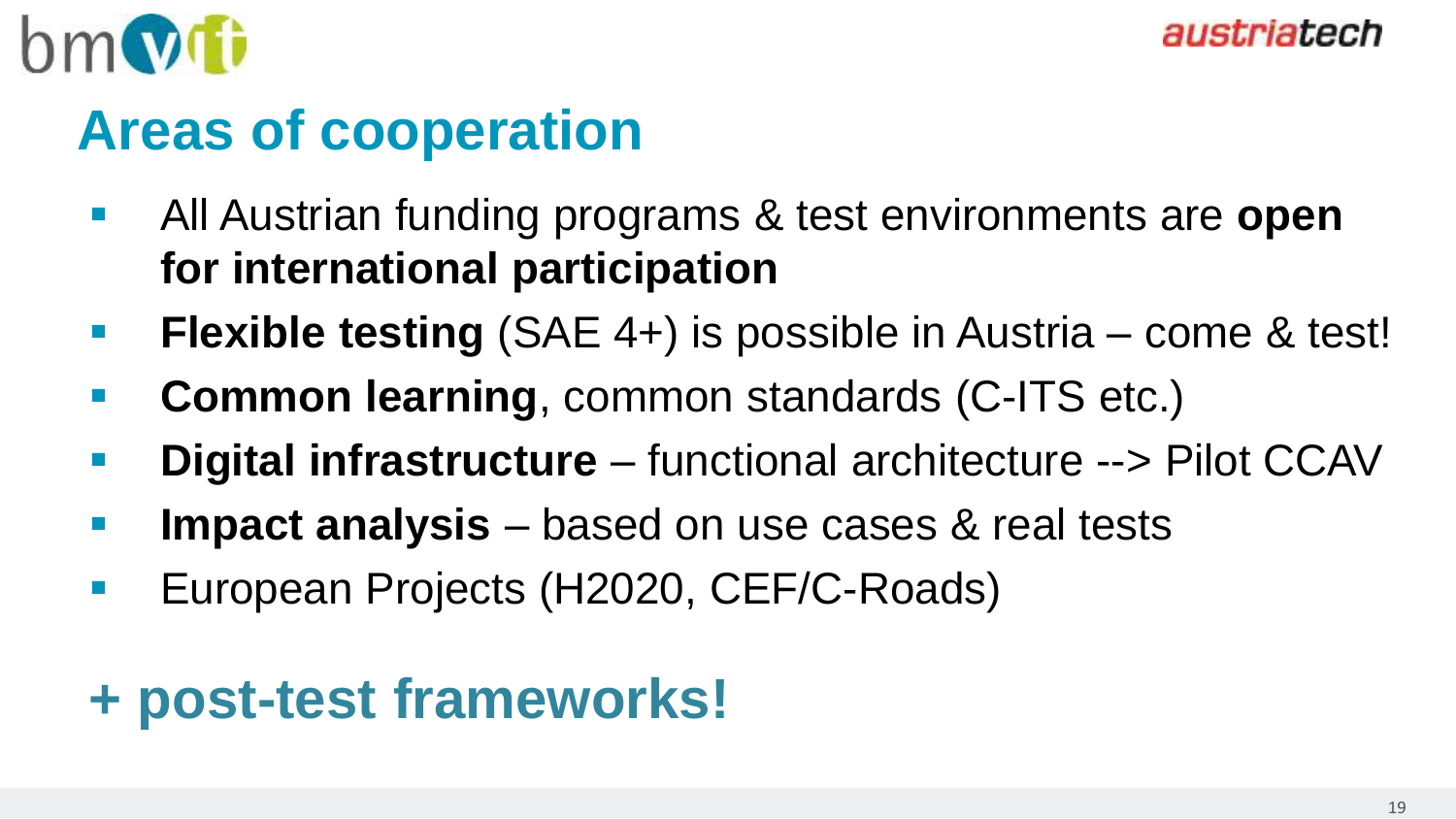

## **Areas of cooperation**

- All Austrian funding programs & test environments are **open for international participation**
- **Flexible testing** (SAE 4+) is possible in Austria come & test!
- **Common learning**, common standards (C-ITS etc.)
- **Digital infrastructure**  functional architecture --> Pilot CCAV
- **Impact analysis**  based on use cases & real tests
- **European Projects (H2020, CEF/C-Roads)**

## **+ post-test frameworks!**